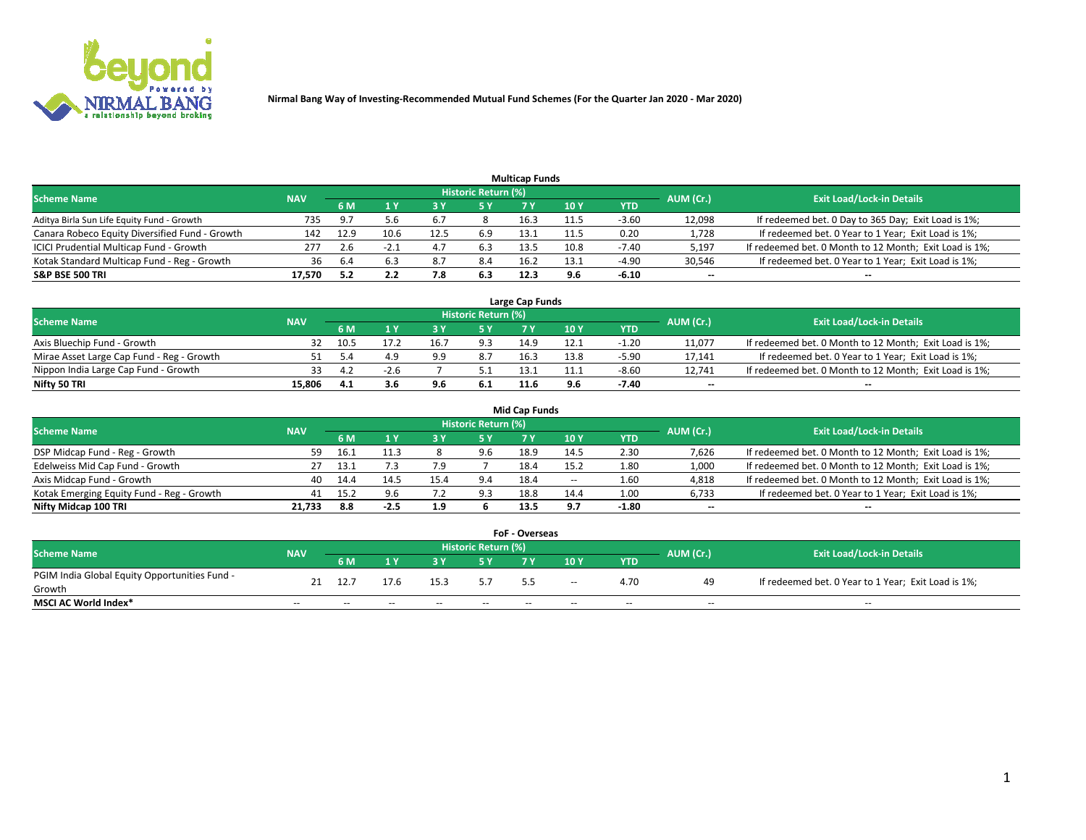

| <b>Multicap Funds</b>                          |            |      |      |      |                     |      |      |         |                          |                                                        |  |  |  |  |
|------------------------------------------------|------------|------|------|------|---------------------|------|------|---------|--------------------------|--------------------------------------------------------|--|--|--|--|
| Scheme Name                                    | <b>NAV</b> |      |      |      | Historic Return (%) |      |      |         | AUM (Cr.)                | <b>Exit Load/Lock-in Details</b>                       |  |  |  |  |
|                                                |            | 6 M  |      |      | 5 Y                 | 7 Y  | 10Y  | YTD     |                          |                                                        |  |  |  |  |
| Aditya Birla Sun Life Equity Fund - Growth     | 735        |      |      |      |                     | 16.3 | 11.5 | $-3.60$ | 12,098                   | If redeemed bet. 0 Day to 365 Day; Exit Load is 1%;    |  |  |  |  |
| Canara Robeco Equity Diversified Fund - Growth | 142        | 12.9 | 10.6 | 12.5 | 6.9                 | 13.1 |      | 0.20    | 1,728                    | If redeemed bet. 0 Year to 1 Year; Exit Load is 1%;    |  |  |  |  |
| ICICI Prudential Multicap Fund - Growth        | 277        |      | -2.  |      | 6.3                 | 13.5 | 10.8 | $-7.40$ | 5,197                    | If redeemed bet. 0 Month to 12 Month; Exit Load is 1%; |  |  |  |  |
| Kotak Standard Multicap Fund - Reg - Growth    | 36         |      |      |      | 8.4                 | 16.2 | 13.1 | $-4.90$ | 30,546                   | If redeemed bet. 0 Year to 1 Year; Exit Load is 1%;    |  |  |  |  |
| <b>S&amp;P BSE 500 TRI</b>                     | 17.570     |      | 2.2  |      | 6.3                 | 12.3 |      | $-6.10$ | $\overline{\phantom{a}}$ | $\overline{\phantom{a}}$                               |  |  |  |  |

| Large Cap Funds                           |            |           |                                  |     |     |      |      |         |        |                                                        |  |  |  |  |
|-------------------------------------------|------------|-----------|----------------------------------|-----|-----|------|------|---------|--------|--------------------------------------------------------|--|--|--|--|
| Scheme Name                               | <b>NAV</b> | AUM (Cr.) | <b>Exit Load/Lock-in Details</b> |     |     |      |      |         |        |                                                        |  |  |  |  |
|                                           |            | 6 M       |                                  |     | 5 Y |      | 10Y  | YTD     |        |                                                        |  |  |  |  |
| Axis Bluechip Fund - Growth               | 32         | 10.5      |                                  | 16. | 9.3 | 14.9 | 12.1 | $-1.20$ | 11,077 | If redeemed bet. 0 Month to 12 Month; Exit Load is 1%; |  |  |  |  |
| Mirae Asset Large Cap Fund - Reg - Growth |            |           |                                  | 9.9 | 8.7 | 16.3 | 13.8 | $-5.90$ | 17,141 | If redeemed bet. 0 Year to 1 Year; Exit Load is 1%;    |  |  |  |  |
| Nippon India Large Cap Fund - Growth      |            |           |                                  |     |     |      | 11.1 | $-8.60$ | 12.741 | If redeemed bet. 0 Month to 12 Month; Exit Load is 1%; |  |  |  |  |
| Nifty 50 TRI                              | 15.806     | 4.1       |                                  | 9.6 | 6.1 | 11.6 |      | $-7.40$ | $\sim$ | $\sim$                                                 |  |  |  |  |

| <b>Mid Cap Funds</b>                      |            |       |        |              |                     |      |      |            |           |                                                        |  |  |  |
|-------------------------------------------|------------|-------|--------|--------------|---------------------|------|------|------------|-----------|--------------------------------------------------------|--|--|--|
| <b>Scheme Name</b>                        | <b>NAV</b> |       |        |              | Historic Return (%) |      |      |            | AUM (Cr.) | <b>Exit Load/Lock-in Details</b>                       |  |  |  |
|                                           |            | 6 M   |        |              | 5 Y                 |      | 10 Y | <b>YTD</b> |           |                                                        |  |  |  |
| DSP Midcap Fund - Reg - Growth            | 59.        | 16.1  |        |              | 9.6                 | 18.9 | 14.5 | 2.30       | 7,626     | If redeemed bet. 0 Month to 12 Month; Exit Load is 1%; |  |  |  |
| Edelweiss Mid Cap Fund - Growth           |            | -13.1 |        |              |                     | 18.4 | 15.2 | 1.80       | 1,000     | If redeemed bet. 0 Month to 12 Month; Exit Load is 1%; |  |  |  |
| Axis Midcap Fund - Growth                 | 40         | 14.4  |        | 15.4         | 9.4                 | 18.4 | $-$  | 1.60       | 4,818     | If redeemed bet. 0 Month to 12 Month; Exit Load is 1%; |  |  |  |
| Kotak Emerging Equity Fund - Reg - Growth | 41         | 15.2  | 9.6    | . . <u>.</u> | 9.3                 | 18.8 | 14.4 | 1.00       | 6,733     | If redeemed bet. 0 Year to 1 Year; Exit Load is 1%;    |  |  |  |
| Nifty Midcap 100 TRI                      | 21.733     | 8.8   | $-2.5$ | 1.9          |                     | 13.5 | 9.7  | $-1.80$    | $- -$     | $\sim$                                                 |  |  |  |

| <b>FoF - Overseas</b>                         |            |       |                                         |       |       |     |       |            |                                  |                                                     |  |  |  |
|-----------------------------------------------|------------|-------|-----------------------------------------|-------|-------|-----|-------|------------|----------------------------------|-----------------------------------------------------|--|--|--|
| <b>Scheme Name</b>                            | <b>NAV</b> |       | <b>Historic Return (%)</b><br>AUM (Cr.) |       |       |     |       |            | <b>Exit Load/Lock-in Details</b> |                                                     |  |  |  |
|                                               |            | 6 M   |                                         |       |       |     | 10Y   | <b>YTD</b> |                                  |                                                     |  |  |  |
| PGIM India Global Equity Opportunities Fund - | 21         | 12.7  | 17.6                                    | 15.3  |       |     |       | 4.70       | 49                               | If redeemed bet. 0 Year to 1 Year; Exit Load is 1%; |  |  |  |
| Growth                                        |            |       |                                         |       |       | 5.5 | $- -$ |            |                                  |                                                     |  |  |  |
| <b>MSCI AC World Index*</b>                   | $- -$      | $- -$ | $- -$                                   | $- -$ | $- -$ | --  | $- -$ | $- -$      | $- -$                            | $- -$                                               |  |  |  |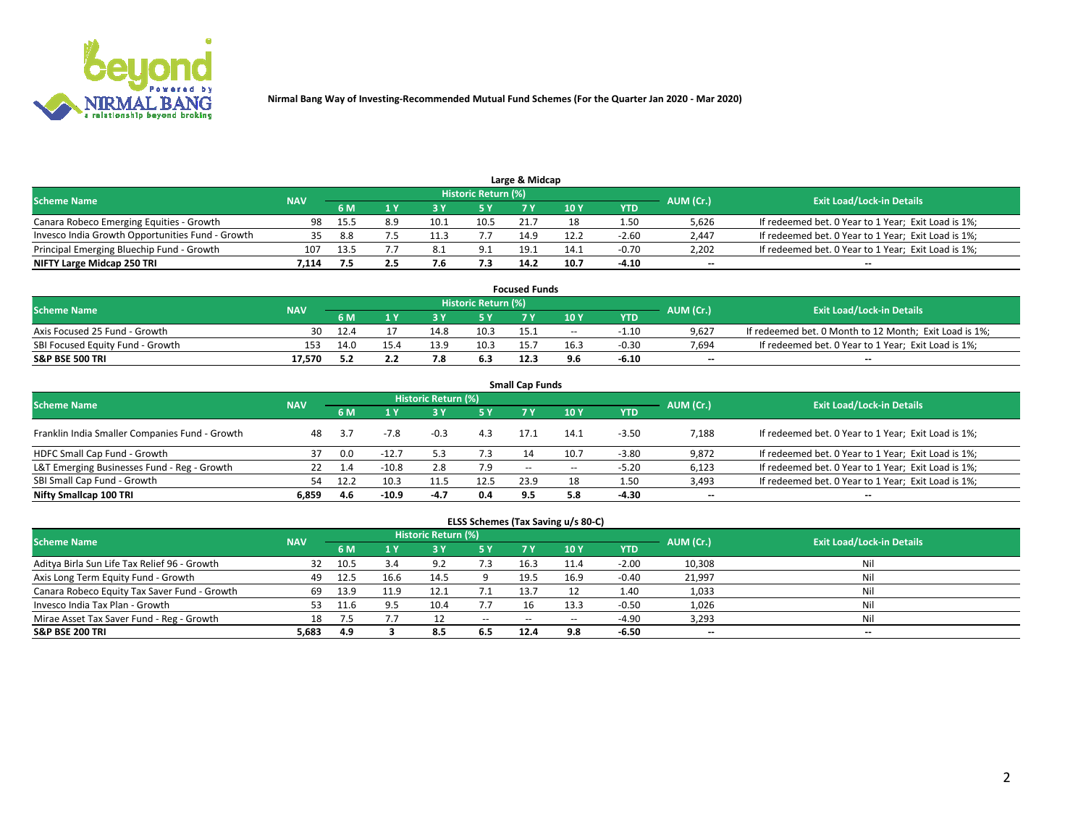

| Large & Midcap                                   |            |      |     |      |                     |      |      |         |           |                                                     |  |  |  |  |
|--------------------------------------------------|------------|------|-----|------|---------------------|------|------|---------|-----------|-----------------------------------------------------|--|--|--|--|
| <b>Scheme Name</b>                               | <b>NAV</b> |      |     |      | Historic Return (%) |      |      |         | AUM (Cr.) | <b>Exit Load/Lock-in Details</b>                    |  |  |  |  |
|                                                  |            | 6 M  |     |      | 5 Y                 |      | 10Y  | YTD     |           |                                                     |  |  |  |  |
| Canara Robeco Emerging Equities - Growth         | 98         | 15.5 | 8.9 | 10.1 | 10.5                |      |      | 1.50    | 5.626     | If redeemed bet. 0 Year to 1 Year; Exit Load is 1%; |  |  |  |  |
| Invesco India Growth Opportunities Fund - Growth |            | 8.8  |     |      |                     | 14.9 | 12.2 | $-2.60$ | 2,447     | If redeemed bet. 0 Year to 1 Year; Exit Load is 1%; |  |  |  |  |
| Principal Emerging Bluechip Fund - Growth        | 107        | 13.5 |     | 8.⊥  | 9.1                 | 19.1 | 14.1 | $-0.70$ | 2,202     | If redeemed bet. 0 Year to 1 Year; Exit Load is 1%; |  |  |  |  |
| NIFTY Large Midcap 250 TRI                       | 1.114      |      | 2.5 |      | 7.3                 | 14.2 | 10.7 | $-4.10$ | $\sim$    | $-$                                                 |  |  |  |  |

| <b>Focused Funds</b>             |            |     |      |      |                     |      |       |         |           |                                                        |  |  |  |
|----------------------------------|------------|-----|------|------|---------------------|------|-------|---------|-----------|--------------------------------------------------------|--|--|--|
| <b>Scheme Name</b>               | <b>NAV</b> |     |      |      | Historic Return (%) |      |       |         |           | <b>Exit Load/Lock-in Details</b>                       |  |  |  |
|                                  |            | 6 M |      |      |                     |      | 10 Y  | YTD     | AUM (Cr.) |                                                        |  |  |  |
| Axis Focused 25 Fund - Growth    | 30         |     |      | 14.8 | 10.3                | 15.1 | $- -$ | -1.10   | 9.627     | If redeemed bet. 0 Month to 12 Month; Exit Load is 1%; |  |  |  |
| SBI Focused Equity Fund - Growth | 153        |     | 15.4 | 13.9 | 10.3                | 15.7 | 16.3  | $-0.30$ | 7.694     | If redeemed bet. 0 Year to 1 Year; Exit Load is 1%;    |  |  |  |
| <b>S&amp;P BSE 500 TRI</b>       | 17.570     |     |      |      | 6.3                 | 12.3 | 9.6   | $-6.10$ | $\sim$    | $- -$                                                  |  |  |  |

| <b>Small Cap Funds</b>                         |            |           |         |                            |      |      |       |            |           |                                                     |  |  |  |  |
|------------------------------------------------|------------|-----------|---------|----------------------------|------|------|-------|------------|-----------|-----------------------------------------------------|--|--|--|--|
| <b>Scheme Name</b>                             | <b>NAV</b> |           |         | <b>Historic Return (%)</b> |      |      |       |            | AUM (Cr.) | <b>Exit Load/Lock-in Details</b>                    |  |  |  |  |
|                                                |            | <b>6M</b> |         |                            | 5 Y  | 7 Y  | 10Y   | <b>YTD</b> |           |                                                     |  |  |  |  |
| Franklin India Smaller Companies Fund - Growth | 48         |           | $-7.8$  | $-0.3$                     | 4.3  | 17.1 | 14.1  | $-3.50$    | 7,188     | If redeemed bet. 0 Year to 1 Year; Exit Load is 1%; |  |  |  |  |
| HDFC Small Cap Fund - Growth                   |            | 0.0       | $-12.7$ |                            | 7.3  |      | 10.7  | $-3.80$    | 9,872     | If redeemed bet. 0 Year to 1 Year; Exit Load is 1%; |  |  |  |  |
| L&T Emerging Businesses Fund - Reg - Growth    |            |           | $-10.8$ | 2.8                        | 7.9  | $-$  | $- -$ | $-5.20$    | 6,123     | If redeemed bet. 0 Year to 1 Year; Exit Load is 1%; |  |  |  |  |
| SBI Small Cap Fund - Growth                    | 54         | 12.2      | 10.3    | 11.5                       | 12.5 | 23.9 | 18    | 1.50       | 3,493     | If redeemed bet. 0 Year to 1 Year; Exit Load is 1%; |  |  |  |  |
| Nifty Smallcap 100 TRI                         | 6.859      | 4.6       | $-10.9$ | -4.7                       | 0.4  | 9.5  | 5.8   | $-4.30$    | $\sim$    | $- -$                                               |  |  |  |  |

## **ELSS Schemes (Tax Saving u/s 80-C)**

| <b>Scheme Name</b>                           | <b>NAV</b> |      |      | <b>Historic Return (%)</b> |           |                          |               | AUM (Cr.) | <b>Exit Load/Lock-in Details</b> |       |
|----------------------------------------------|------------|------|------|----------------------------|-----------|--------------------------|---------------|-----------|----------------------------------|-------|
|                                              |            | 6 M  | 4 Y  | 73 Y                       | <b>5Y</b> | 7 Y                      | $\sqrt{10}$ Y | YTD       |                                  |       |
| Aditya Birla Sun Life Tax Relief 96 - Growth | 32         | 10.5 | 3.4  | a ၁                        | 7.3       | 16.3                     | 11.4          | $-2.00$   | 10,308                           | Nil   |
| Axis Long Term Equity Fund - Growth          | 49         | 12.5 | 16.6 | 14.5                       |           | 19.5                     | 16.9          | $-0.40$   | 21,997                           | Nil   |
| Canara Robeco Equity Tax Saver Fund - Growth | 69         | 13.9 | 11.9 |                            |           | 13.                      |               | 1.40      | 1,033                            | Nil   |
| Invesco India Tax Plan - Growth              | 53         | 11.6 |      | 10.4                       | 7.7       |                          | 13.3          | $-0.50$   | 1,026                            | Nil   |
| Mirae Asset Tax Saver Fund - Reg - Growth    | 18         |      |      |                            | $\sim$    | $\overline{\phantom{m}}$ | --            | $-4.90$   | 3,293                            | Nil   |
| S&P BSE 200 TRI                              | 5,683      | 4.9  |      | 8.5                        | 6.5       | 12.4                     | 9.8           | $-6.50$   | $\sim$                           | $- -$ |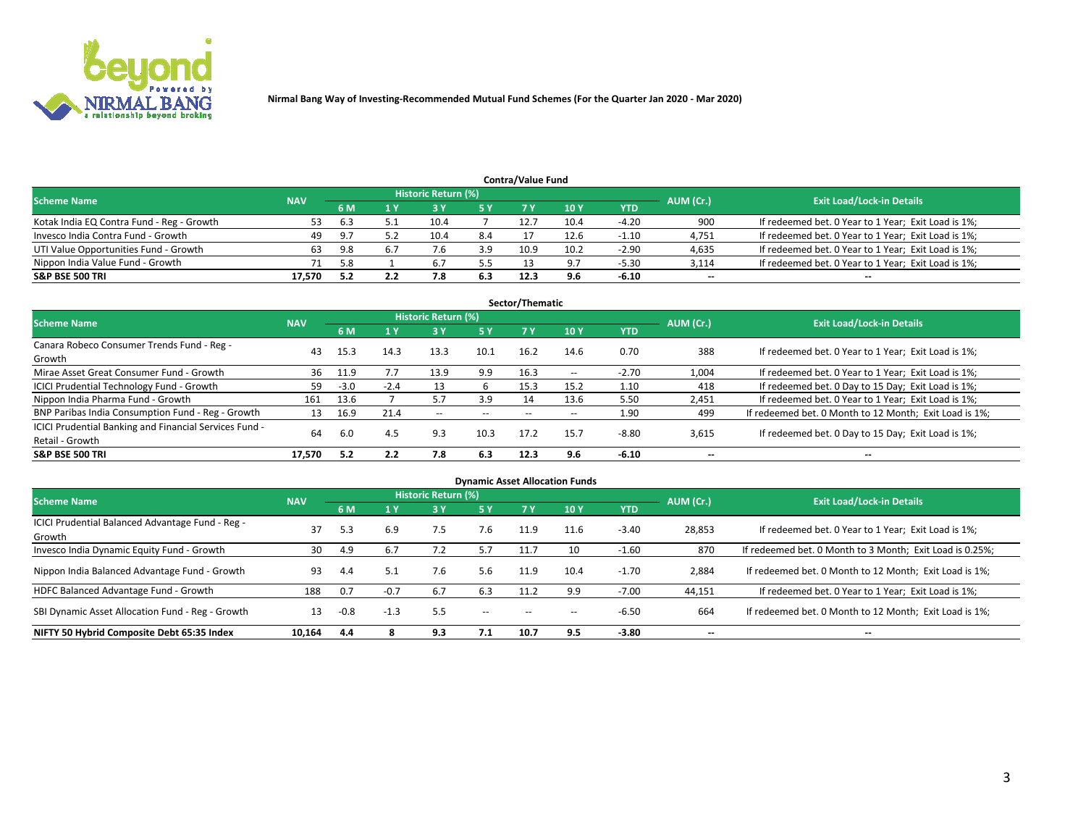

| <b>Contra/Value Fund</b>                                                                                        |        |     |     |      |     |      |                 |            |        |                                                     |  |  |  |  |
|-----------------------------------------------------------------------------------------------------------------|--------|-----|-----|------|-----|------|-----------------|------------|--------|-----------------------------------------------------|--|--|--|--|
| <b>Historic Return (%)</b><br><b>Exit Load/Lock-in Details</b><br>AUM (Cr.)<br><b>Scheme Name</b><br><b>NAV</b> |        |     |     |      |     |      |                 |            |        |                                                     |  |  |  |  |
|                                                                                                                 |        | 6 M |     |      | 5 Y |      | 10 <sub>Y</sub> | <b>YTD</b> |        |                                                     |  |  |  |  |
| Kotak India EQ Contra Fund - Reg - Growth                                                                       | 53     | 6.3 |     | 10.4 |     | 12.7 | 10.4            | $-4.20$    | 900    | If redeemed bet. 0 Year to 1 Year; Exit Load is 1%; |  |  |  |  |
| Invesco India Contra Fund - Growth                                                                              | 49     | 9.7 |     | 10.4 | 8.4 |      | 12.6            | $-1.10$    | 4,751  | If redeemed bet. 0 Year to 1 Year; Exit Load is 1%; |  |  |  |  |
| UTI Value Opportunities Fund - Growth                                                                           | 63     | 9.8 |     |      | 3.9 | 10.9 | 10.2            | $-2.90$    | 4,635  | If redeemed bet. 0 Year to 1 Year; Exit Load is 1%; |  |  |  |  |
| Nippon India Value Fund - Growth                                                                                |        | 5.8 |     | 6.   | 5.5 |      | 9.7             | $-5.30$    | 3,114  | If redeemed bet. 0 Year to 1 Year; Exit Load is 1%; |  |  |  |  |
| S&P BSE 500 TRI                                                                                                 | 17.570 |     | 2.2 |      | 6.3 | 12.3 | 9.6             | $-6.10$    | $\sim$ | --                                                  |  |  |  |  |

| Sector/Thematic                                                           |            |        |        |                          |           |       |                          |            |                          |                                                        |  |  |  |  |
|---------------------------------------------------------------------------|------------|--------|--------|--------------------------|-----------|-------|--------------------------|------------|--------------------------|--------------------------------------------------------|--|--|--|--|
| <b>Scheme Name</b>                                                        | <b>NAV</b> |        |        | Historic Return (%)      |           |       |                          |            | AUM (Cr.)                | <b>Exit Load/Lock-in Details</b>                       |  |  |  |  |
|                                                                           |            | 6 M    | 1 Y    | 73 Y                     | <b>5Y</b> | 7 Y   | 10Y                      | <b>YTD</b> |                          |                                                        |  |  |  |  |
| Canara Robeco Consumer Trends Fund - Reg -<br>Growth                      | 43         | 15.3   | 14.3   | 13.3                     | 10.1      | 16.2  | 14.6                     | 0.70       | 388                      | If redeemed bet. 0 Year to 1 Year; Exit Load is 1%;    |  |  |  |  |
| Mirae Asset Great Consumer Fund - Growth                                  | 36         | 11.9   |        | 13.9                     | 9.9       | 16.3  | $\overline{\phantom{a}}$ | $-2.70$    | 1,004                    | If redeemed bet. 0 Year to 1 Year; Exit Load is 1%;    |  |  |  |  |
| ICICI Prudential Technology Fund - Growth                                 | 59         | $-3.0$ | $-2.4$ |                          | h         | 15.3  | 15.2                     | 1.10       | 418                      | If redeemed bet. 0 Day to 15 Day; Exit Load is 1%;     |  |  |  |  |
| Nippon India Pharma Fund - Growth                                         | 161        | 13.6   |        | 5.7                      | 3.9       | 14    | 13.6                     | 5.50       | 2,451                    | If redeemed bet. 0 Year to 1 Year; Exit Load is 1%;    |  |  |  |  |
| BNP Paribas India Consumption Fund - Reg - Growth                         | 13         | 16.9   | 21.4   | $\overline{\phantom{a}}$ | $- -$     | $- -$ | $- -$                    | 1.90       | 499                      | If redeemed bet. 0 Month to 12 Month; Exit Load is 1%; |  |  |  |  |
| ICICI Prudential Banking and Financial Services Fund -<br>Retail - Growth | 64         | 6.0    | 4.5    | 9.3                      | 10.3      | 17.2  | 15.7                     | $-8.80$    | 3,615                    | If redeemed bet. 0 Day to 15 Day; Exit Load is 1%;     |  |  |  |  |
| <b>S&amp;P BSE 500 TRI</b>                                                | 17.570     | 5.2    | 2.2    | 7.8                      | 6.3       | 12.3  | 9.6                      | $-6.10$    | $\overline{\phantom{a}}$ | $- -$                                                  |  |  |  |  |

| <b>Dynamic Asset Allocation Funds</b>                      |            |        |        |                     |        |           |      |            |                          |                                                          |  |  |  |
|------------------------------------------------------------|------------|--------|--------|---------------------|--------|-----------|------|------------|--------------------------|----------------------------------------------------------|--|--|--|
| <b>Scheme Name</b>                                         | <b>NAV</b> |        |        | Historic Return (%) |        |           |      |            | AUM (Cr.)                | <b>Exit Load/Lock-in Details</b>                         |  |  |  |
|                                                            |            | 6 M    |        | 73 Y                | 5 Y    | <b>7Y</b> | 10Y  | <b>YTD</b> |                          |                                                          |  |  |  |
| ICICI Prudential Balanced Advantage Fund - Reg -<br>Growth | 37         | 5.3    | 6.9    | 7.5                 | 7.6    | 11.9      | 11.6 | $-3.40$    | 28,853                   | If redeemed bet. 0 Year to 1 Year; Exit Load is 1%;      |  |  |  |
| Invesco India Dynamic Equity Fund - Growth                 | 30         | 4.9    | 6.7    | 7.2                 | 5.7    | 11.7      | 10   | $-1.60$    | 870                      | If redeemed bet. 0 Month to 3 Month; Exit Load is 0.25%; |  |  |  |
| Nippon India Balanced Advantage Fund - Growth              | 93         | 4.4    |        | 7.6                 | 5.6    | 11.9      | 10.4 | $-1.70$    | 2,884                    | If redeemed bet. 0 Month to 12 Month; Exit Load is 1%;   |  |  |  |
| HDFC Balanced Advantage Fund - Growth                      | 188        | 0.7    | $-0.7$ | 6.7                 | 6.3    | 11.2      | 9.9  | $-7.00$    | 44,151                   | If redeemed bet. 0 Year to 1 Year; Exit Load is 1%;      |  |  |  |
| SBI Dynamic Asset Allocation Fund - Reg - Growth           | 13         | $-0.8$ | $-1.3$ | 5.5                 | $\sim$ | --        | --   | $-6.50$    | 664                      | If redeemed bet. 0 Month to 12 Month; Exit Load is 1%;   |  |  |  |
| NIFTY 50 Hybrid Composite Debt 65:35 Index                 | 10,164     | 4.4    |        | 9.3                 | 7.1    | 10.7      | 9.5  | $-3.80$    | $\overline{\phantom{a}}$ | $- -$                                                    |  |  |  |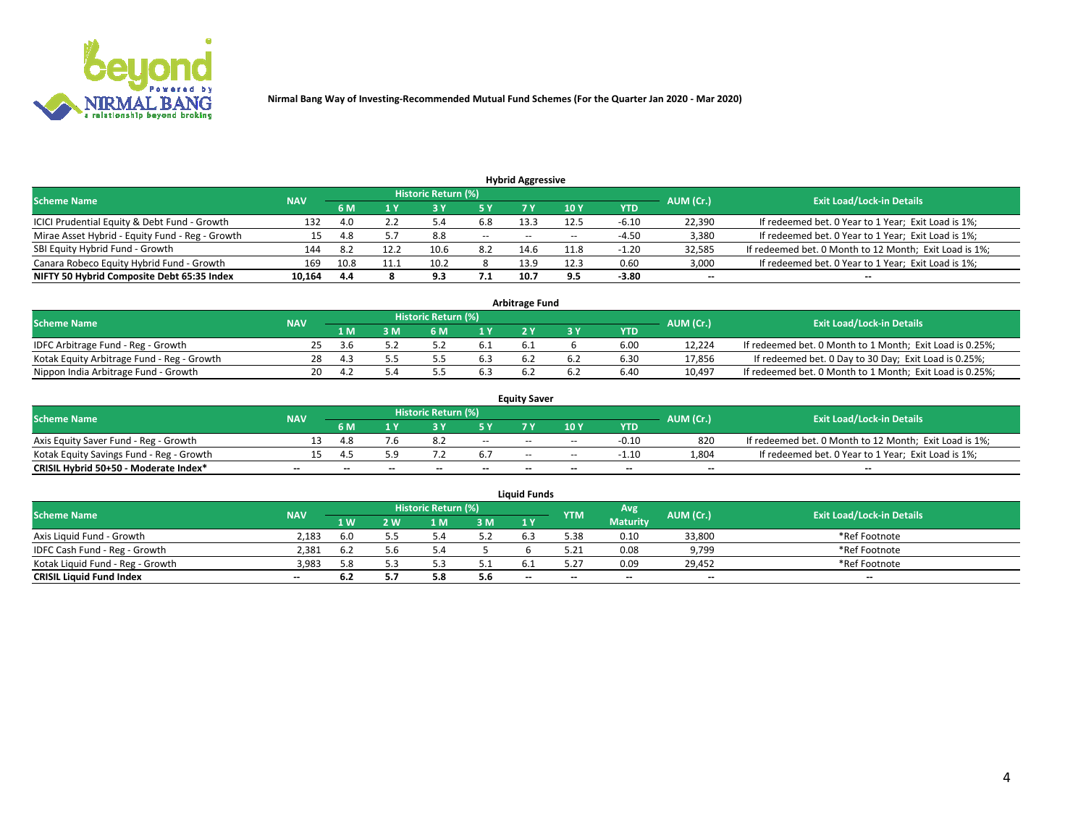

| <b>Hybrid Aggressive</b>                        |            |                                  |      |      |       |       |                 |         |                          |                                                        |  |  |  |  |
|-------------------------------------------------|------------|----------------------------------|------|------|-------|-------|-----------------|---------|--------------------------|--------------------------------------------------------|--|--|--|--|
| <b>Scheme Name</b>                              | AUM (Cr.)  | <b>Exit Load/Lock-in Details</b> |      |      |       |       |                 |         |                          |                                                        |  |  |  |  |
|                                                 | <b>NAV</b> | 6 M                              |      |      | 5 Y   |       | 10 <sub>Y</sub> | YTD     |                          |                                                        |  |  |  |  |
| ICICI Prudential Equity & Debt Fund - Growth    | 132        | 4.0                              |      |      | 6.8   | 13.3  | 12.5            | $-6.10$ | 22,390                   | If redeemed bet. 0 Year to 1 Year; Exit Load is 1%;    |  |  |  |  |
| Mirae Asset Hybrid - Equity Fund - Reg - Growth |            | 4.8                              |      | 8.8  | $- -$ | $- -$ | $- -$           | $-4.50$ | 3,380                    | If redeemed bet. 0 Year to 1 Year; Exit Load is 1%;    |  |  |  |  |
| SBI Equity Hybrid Fund - Growth                 | 144        | 8.2                              | 12.2 | 10.6 | 8.2   | 14.6  | 11.8            | $-1.20$ | 32,585                   | If redeemed bet. 0 Month to 12 Month; Exit Load is 1%; |  |  |  |  |
| Canara Robeco Equity Hybrid Fund - Growth       | 169        | 10.8                             |      | 10.2 |       | 13.9  | 12.3            | 0.60    | 3,000                    | If redeemed bet. 0 Year to 1 Year; Exit Load is 1%;    |  |  |  |  |
| NIFTY 50 Hybrid Composite Debt 65:35 Index      | 10,164     | -4.4                             |      | 9.3  | 7.1   | 10.7  | - 9.5           | $-3.80$ | $\overline{\phantom{a}}$ | $- -$                                                  |  |  |  |  |

| <b>Arbitrage Fund</b>                      |            |          |     |                     |  |    |  |            |           |                                                          |  |  |  |
|--------------------------------------------|------------|----------|-----|---------------------|--|----|--|------------|-----------|----------------------------------------------------------|--|--|--|
| Scheme Name                                | <b>NAV</b> |          |     | Historic Return (%) |  |    |  |            | AUM (Cr.) | <b>Exit Load/Lock-in Details</b>                         |  |  |  |
|                                            |            | l M      | : M |                     |  |    |  | <b>YTD</b> |           |                                                          |  |  |  |
| IDFC Arbitrage Fund - Reg - Growth         |            |          |     |                     |  | b. |  | 6.00       | 12.224    | If redeemed bet. 0 Month to 1 Month; Exit Load is 0.25%; |  |  |  |
| Kotak Equity Arbitrage Fund - Reg - Growth | 28         | 4.1      |     |                     |  |    |  | 0.30       | 17.856    | If redeemed bet. 0 Day to 30 Day; Exit Load is 0.25%;    |  |  |  |
| Nippon India Arbitrage Fund - Growth       | 20         | $\Delta$ |     |                     |  |    |  | 6.40       | 10.497    | If redeemed bet. 0 Month to 1 Month; Exit Load is 0.25%; |  |  |  |

|                                          |            |           |                                  |                          |                          | <b>Equity Saver</b> |               |            |                          |                                                        |
|------------------------------------------|------------|-----------|----------------------------------|--------------------------|--------------------------|---------------------|---------------|------------|--------------------------|--------------------------------------------------------|
| Scheme Name                              | <b>NAV</b> | AUM (Cr.) | <b>Exit Load/Lock-in Details</b> |                          |                          |                     |               |            |                          |                                                        |
|                                          |            | 6 M       |                                  |                          | 5 Y                      |                     | $\sqrt{10}$ Y | <b>YTD</b> |                          |                                                        |
| Axis Equity Saver Fund - Reg - Growth    |            | 4.8       | ∕.b                              |                          | $\sim$                   | $- -$               | $- -$         | $-0.10$    | 820                      | If redeemed bet. 0 Month to 12 Month; Exit Load is 1%; |
| Kotak Equity Savings Fund - Reg - Growth |            |           | 5.9                              |                          | 6.7                      | $\sim$ $\sim$       | $- -$         | $-1.10$    | 1,804                    | If redeemed bet. 0 Year to 1 Year; Exit Load is 1%;    |
| CRISIL Hybrid 50+50 - Moderate Index*    |            | $- -$     | $-$                              | $\overline{\phantom{a}}$ | $\overline{\phantom{a}}$ | $\sim$              | --            | $\sim$     | $\overline{\phantom{a}}$ | $- -$                                                  |

| <b>Liquid Funds</b>              |            |      |     |                            |      |                          |            |                 |           |                                  |  |  |  |  |
|----------------------------------|------------|------|-----|----------------------------|------|--------------------------|------------|-----------------|-----------|----------------------------------|--|--|--|--|
| Scheme Name                      | <b>NAV</b> |      |     | <b>Historic Return (%)</b> |      |                          | <b>YTM</b> | Avg             | AUM (Cr.) | <b>Exit Load/Lock-in Details</b> |  |  |  |  |
|                                  |            | 1 W. | 2 W | 1 M                        | 3M   | 71 Y                     |            | <b>Maturity</b> |           |                                  |  |  |  |  |
| Axis Liquid Fund - Growth        | 2,183      | 6.0  |     |                            | 5.2  |                          | 5.38       | 0.10            | 33,800    | *Ref Footnote                    |  |  |  |  |
| IDFC Cash Fund - Reg - Growth    | 2.381      | 6.2  | 5.6 |                            |      |                          | 5.21       | 0.08            | 9,799     | *Ref Footnote                    |  |  |  |  |
| Kotak Liquid Fund - Reg - Growth | 3,983      | : ໑  |     |                            | ۰۰ ت |                          |            | 0.09            | 29,452    | *Ref Footnote                    |  |  |  |  |
| <b>CRISIL Liquid Fund Index</b>  | $\sim$     | 6.2  |     |                            | 5.6  | $\overline{\phantom{a}}$ | $-$        | $\sim$          | $\sim$    | $\sim$                           |  |  |  |  |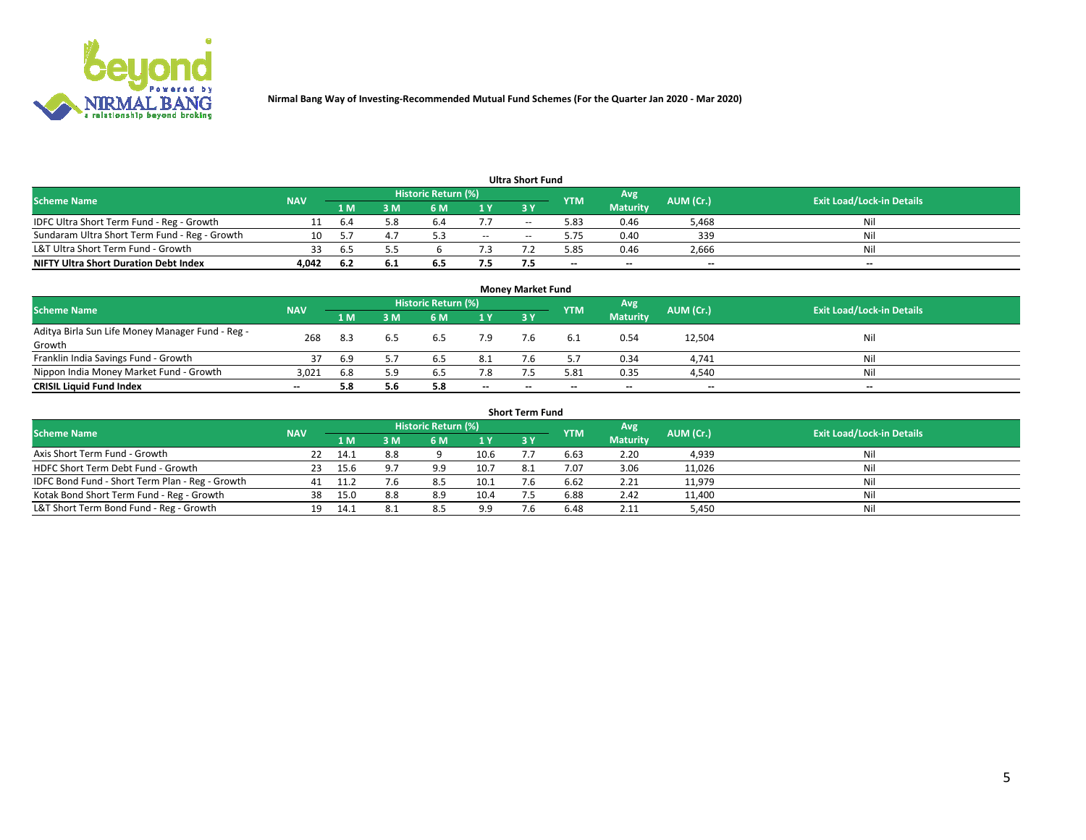

| <b>Ultra Short Fund</b>                       |            |      |     |                            |        |            |      |                 |                                  |       |  |  |  |  |
|-----------------------------------------------|------------|------|-----|----------------------------|--------|------------|------|-----------------|----------------------------------|-------|--|--|--|--|
| <b>Scheme Name</b>                            | <b>NAV</b> |      |     | <b>Historic Return (%)</b> |        | <b>YTM</b> | Avg  | AUM (Cr.)       | <b>Exit Load/Lock-in Details</b> |       |  |  |  |  |
|                                               |            | 1 M  | 3 M | 6 M                        | 1 Y    | <b>3 Y</b> |      | <b>Maturity</b> |                                  |       |  |  |  |  |
| IDFC Ultra Short Term Fund - Reg - Growth     |            | 6.4  | 5.8 | b.4                        |        | $-$        | 5.83 | 0.46            | 5,468                            | Nil   |  |  |  |  |
| Sundaram Ultra Short Term Fund - Reg - Growth |            |      |     |                            | $\sim$ | --         | 5.75 | 0.40            | 339                              | Nil   |  |  |  |  |
| L&T Ultra Short Term Fund - Growth            | 33         | 6.5  |     |                            |        |            | 5.85 | 0.46            | 2,666                            | Nil   |  |  |  |  |
| <b>NIFTY Ultra Short Duration Debt Index</b>  | 4,042      | -6.2 | 6.1 | 6.5                        | 7.5    |            | $-$  | $-$             | $- -$                            | $- -$ |  |  |  |  |

| <b>Money Market Fund</b>                         |            |     |     |                     |        |    |            |                 |           |                                  |  |  |  |
|--------------------------------------------------|------------|-----|-----|---------------------|--------|----|------------|-----------------|-----------|----------------------------------|--|--|--|
| <b>Scheme Name</b>                               | <b>NAV</b> |     |     | Historic Return (%) |        |    | <b>YTM</b> | 'Avg            | AUM (Cr.) | <b>Exit Load/Lock-in Details</b> |  |  |  |
|                                                  |            | 1 M | 3 M | 6 M                 | 1 Y    | 3Y |            | <b>Maturity</b> |           |                                  |  |  |  |
| Aditya Birla Sun Life Money Manager Fund - Reg - | 268        | 8.3 | 6.5 | 6.5                 | 7.9    |    |            | 0.54            | 12,504    | Nil                              |  |  |  |
| Growth                                           |            |     |     |                     |        |    |            |                 |           |                                  |  |  |  |
| Franklin India Savings Fund - Growth             | 37         | 6.9 |     | 6.5                 | 8.1    |    |            | 0.34            | 4,741     | Nil                              |  |  |  |
| Nippon India Money Market Fund - Growth          | 3,021      | 6.8 | 5.9 | 6.5                 | 7.8    |    | 5.81       | 0.35            | 4,540     | Nil                              |  |  |  |
| <b>CRISIL Liquid Fund Index</b>                  | $- -$      | 5.8 | 5.6 | 5.8                 | $\sim$ | -- | --         | $\sim$          | $\sim$    | $\sim$                           |  |  |  |

| <b>Short Term Fund</b>                          |            |      |     |                            |      |           |            |                 |           |                                  |  |  |  |  |
|-------------------------------------------------|------------|------|-----|----------------------------|------|-----------|------------|-----------------|-----------|----------------------------------|--|--|--|--|
| <b>Scheme Name</b>                              | <b>NAV</b> |      |     | <b>Historic Return (%)</b> |      |           | <b>YTM</b> | Avg             | AUM (Cr.) | <b>Exit Load/Lock-in Details</b> |  |  |  |  |
|                                                 |            | 1 M  | 3 M | 6 M                        | 1Y   | <b>3Y</b> |            | <b>Maturity</b> |           |                                  |  |  |  |  |
| Axis Short Term Fund - Growth                   |            | 14.1 | 8.8 |                            | 10.6 |           | 6.63       | 2.20            | 4,939     | Nil                              |  |  |  |  |
| HDFC Short Term Debt Fund - Growth              | 23         | 15.6 |     | 9.9                        | 10.7 | 8.1       | 7.07       | 3.06            | 11,026    | Nil                              |  |  |  |  |
| IDFC Bond Fund - Short Term Plan - Reg - Growth | 41         |      | 7.6 | 8.5                        | 10.1 |           | 6.62       | 2.21            | 11,979    | Nil                              |  |  |  |  |
| Kotak Bond Short Term Fund - Reg - Growth       | 38         | 15.0 | 8.8 | 8.9                        | 10.4 |           | 6.88       | 2.42            | 11,400    | Nil                              |  |  |  |  |
| L&T Short Term Bond Fund - Reg - Growth         |            | 14.1 | 8.1 | 8.5                        | 9.9  |           | 6.48       | 2.11            | 5,450     | Nil                              |  |  |  |  |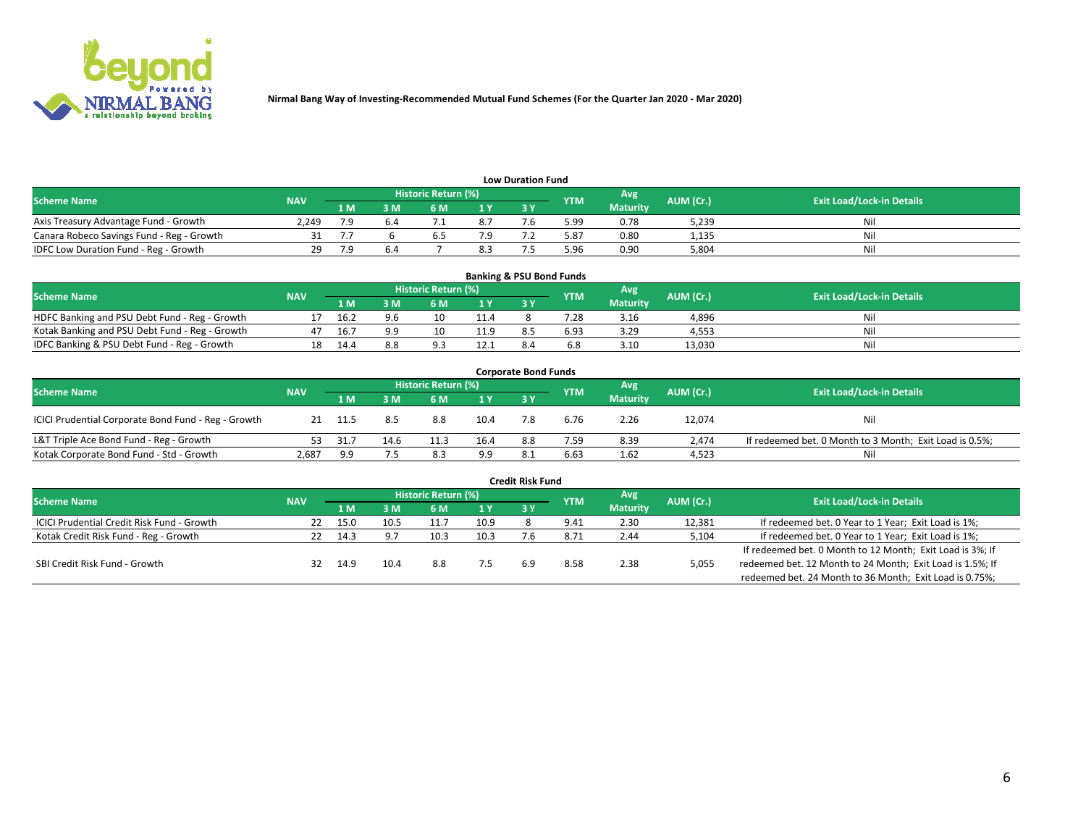

| <b>Low Duration Fund</b>                  |            |     |    |                     |                |           |            |                 |           |                                  |  |  |  |  |
|-------------------------------------------|------------|-----|----|---------------------|----------------|-----------|------------|-----------------|-----------|----------------------------------|--|--|--|--|
| <b>Scheme Name</b>                        | <b>NAV</b> |     |    | Historic Return (%) |                |           | <b>YTM</b> | Avg             | AUM (Cr.) | <b>Exit Load/Lock-in Details</b> |  |  |  |  |
|                                           |            | 1 M | sм | 6 M                 | 1 <sub>Y</sub> | <b>3Y</b> |            | <b>Maturity</b> |           |                                  |  |  |  |  |
| Axis Treasury Advantage Fund - Growth     | 2.249      |     |    |                     | 8.7            |           | 99.د       | 0.78            | 5,239     | Nil                              |  |  |  |  |
| Canara Robeco Savings Fund - Reg - Growth |            |     |    |                     |                |           | 87.ز       | 0.80            | 1,135     | Nil                              |  |  |  |  |
| IDFC Low Duration Fund - Reg - Growth     | 29.        |     |    |                     |                |           | .96 ذ      | 0.90            | 5,804     | Nil                              |  |  |  |  |

| <b>Banking &amp; PSU Bond Funds</b>            |            |      |     |                     |                |           |            |                 |           |                                  |  |  |  |
|------------------------------------------------|------------|------|-----|---------------------|----------------|-----------|------------|-----------------|-----------|----------------------------------|--|--|--|
| <b>Scheme Name</b>                             | <b>NAV</b> |      |     | Historic Return (%) |                |           | <b>YTM</b> | Avg             | AUM (Cr.) | <b>Exit Load/Lock-in Details</b> |  |  |  |
|                                                |            | 1 M  | sм  | 6 M                 | 4 <sub>Y</sub> | <b>3Y</b> |            | <b>Maturity</b> |           |                                  |  |  |  |
| HDFC Banking and PSU Debt Fund - Reg - Growth  |            | 16.2 |     | 10                  | 11.4           |           | 28'        | 3.16            | 4,896     | Ni                               |  |  |  |
| Kotak Banking and PSU Debt Fund - Reg - Growth |            | 16.  | a a | 10                  | 11.9           |           | 6.93       | 3.29            | 4,553     | Ni                               |  |  |  |
| IDFC Banking & PSU Debt Fund - Reg - Growth    |            | 14.4 |     |                     | 12.7           |           |            | 3.10            | 13.030    | Ni                               |  |  |  |

| <b>Corporate Bond Funds</b>                         |            |      |                         |                     |      |     |            |                 |           |                                                         |  |  |  |  |
|-----------------------------------------------------|------------|------|-------------------------|---------------------|------|-----|------------|-----------------|-----------|---------------------------------------------------------|--|--|--|--|
| <b>Scheme Name</b>                                  | <b>NAV</b> |      |                         | Historic Return (%) |      |     | <b>YTM</b> | Avg             | AUM (Cr.) | <b>Exit Load/Lock-in Details</b>                        |  |  |  |  |
|                                                     |            | 1 M  | $\overline{\mathsf{M}}$ | 6 M                 | 1Y   | 3V  |            | <b>Maturity</b> |           |                                                         |  |  |  |  |
| ICICI Prudential Corporate Bond Fund - Reg - Growth |            | 11.5 | 8.5                     | 8.8                 | 10.4 |     | 6.76       | 2.26            | 12,074    | Nil                                                     |  |  |  |  |
| L&T Triple Ace Bond Fund - Reg - Growth             | 53.        | 31.7 | 14.6                    | 11.3                | 16.4 | 8.8 | 7.59       | 8.39            | 2.474     | If redeemed bet. 0 Month to 3 Month; Exit Load is 0.5%; |  |  |  |  |
| Kotak Corporate Bond Fund - Std - Growth            | 2,687      | 9.9  |                         | 8.3                 | 9.9  |     | 6.63       | 1.62            | 4,523     | Nil                                                     |  |  |  |  |

| <b>Credit Risk Fund</b>                           |            |      |      |                            |      |    |               |                 |           |                                                           |  |  |  |
|---------------------------------------------------|------------|------|------|----------------------------|------|----|---------------|-----------------|-----------|-----------------------------------------------------------|--|--|--|
| <b>Scheme Name</b>                                | <b>NAV</b> |      |      | <b>Historic Return (%)</b> |      |    | <b>YTM</b>    | Avg             | AUM (Cr.) | <b>Exit Load/Lock-in Details</b>                          |  |  |  |
|                                                   |            | 1 M  | 3 M  | 6 M                        | 71 Y | 3Y |               | <b>Maturity</b> |           |                                                           |  |  |  |
| <b>ICICI Prudential Credit Risk Fund - Growth</b> | 22         | 15.0 | 10.5 | 11.7                       | 10.9 |    | 9.41          | 2.30            | 12,381    | If redeemed bet. 0 Year to 1 Year; Exit Load is 1%;       |  |  |  |
| Kotak Credit Risk Fund - Reg - Growth             |            | 14.3 |      | 10.3                       | 10.3 |    | $8.7^{\circ}$ | 2.44            | 5,104     | If redeemed bet. 0 Year to 1 Year; Exit Load is 1%;       |  |  |  |
|                                                   |            |      |      |                            |      |    |               |                 |           | If redeemed bet. 0 Month to 12 Month; Exit Load is 3%; If |  |  |  |
| SBI Credit Risk Fund - Growth                     | 32         | 14.9 | 10.4 | 8.8                        |      |    | 8.58          | 2.38            | 5,055     | redeemed bet. 12 Month to 24 Month; Exit Load is 1.5%; If |  |  |  |
|                                                   |            |      |      |                            |      |    |               |                 |           | redeemed bet. 24 Month to 36 Month; Exit Load is 0.75%;   |  |  |  |